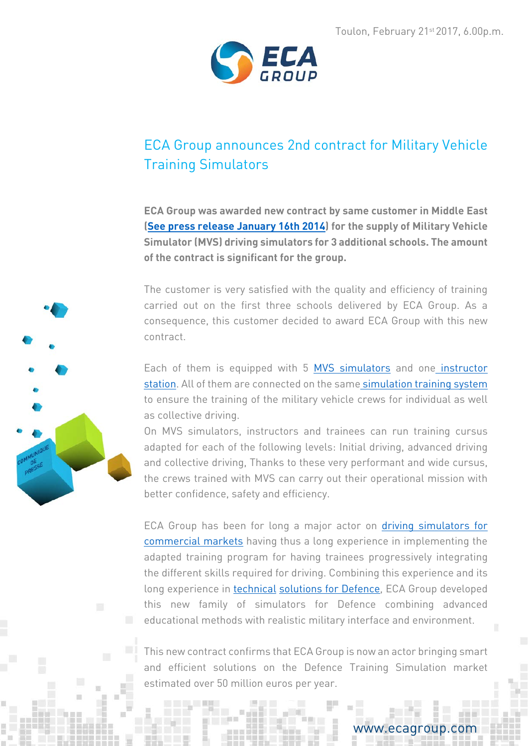

# ECA Group announces 2nd contract for Military Vehicle Training Simulators

**ECA Group was awarded new contract by same customer in Middle East [\(See press release January 16th 2014\)](http://www.ecagroup.com/en/financial/eca-sell-terrestrial-simulator-defence-international) for the supply of Military Vehicle Simulator (MVS) driving simulators for 3 additional schools. The amount of the contract is significant for the group.**

The customer is very satisfied with the quality and efficiency of training carried out on the first three schools delivered by ECA Group. As a consequence, this customer decided to award ECA Group with this new contract.

Each of them is equipped with 5 [MVS simulators](http://www.ecagroup.com/en/solutions/military-vehicle-simulator) and one [instructor](http://www.ecagroup.com/en/solutions/simulator-instructor-operating-debriefing-station)  [station.](http://www.ecagroup.com/en/solutions/simulator-instructor-operating-debriefing-station) All of them are connected on the same [simulation training system](http://www.ecagroup.com/en/solutions/simulation-training-systems-military-vehicle-driving) to ensure the training of the military vehicle crews for individual as well as collective driving.

On MVS simulators, instructors and trainees can run training cursus adapted for each of the following levels: Initial driving, advanced driving and collective driving, Thanks to these very performant and wide cursus, the crews trained with MVS can carry out their operational mission with better confidence, safety and efficiency.

ECA Group has been for long a major actor on [driving simulators for](http://www.ecagroup.com/en/training-simulation/driving-simulation)  [commercial markets](http://www.ecagroup.com/en/training-simulation/driving-simulation) having thus a long experience in implementing the adapted training program for having trainees progressively integrating the different skills required for driving. Combining this experience and its long experience in [technical](http://www.ecagroup.com/en/defence-security) [solutions for Defence,](http://www.ecagroup.com/en/defence-security) ECA Group developed this new family of simulators for Defence combining advanced educational methods with realistic military interface and environment.

This new contract confirms that ECA Group is now an actor bringing smart and efficient solutions on the Defence Training Simulation market estimated over 50 million euros per year.



### www.ecagroup.com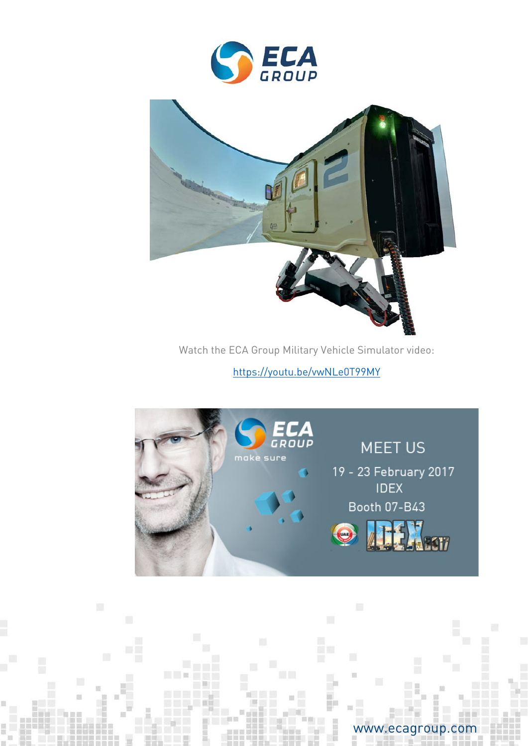



Watch the ECA Group Military Vehicle Simulator video:

<https://youtu.be/vwNLe0T99MY>



**TABLE** 

## www.ecagroup.com

Ë